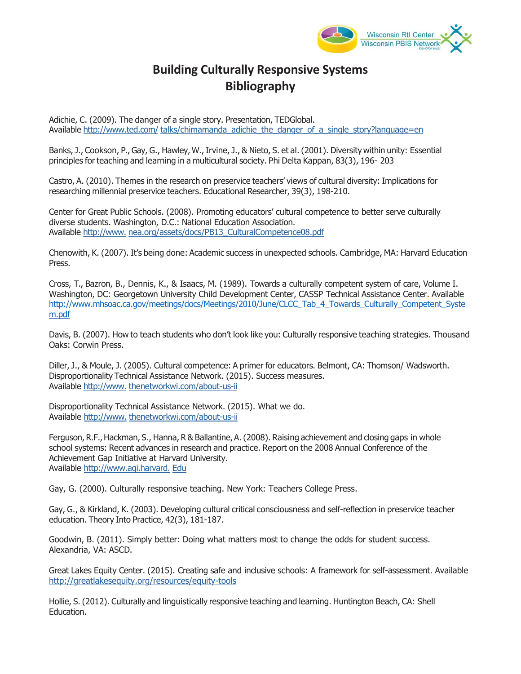

## **Building Culturally Responsive Systems Bibliography**

Adichie, C. (2009). The danger of a single story. Presentation, TEDGlobal. Available<http://www.ted.com/>talks/chimamanda\_adichie\_the\_danger\_of\_a\_single\_story?language=en

Banks, J., Cookson, P., Gay, G., Hawley, W., Irvine, J., & Nieto, S. et al. (2001). Diversity within unity: Essential principles for teaching and learning in a multicultural society. Phi Delta Kappan, 83(3), 196- 203

Castro, A. (2010). Themes in the research on preservice teachers' views of cultural diversity: Implications for researching millennial preservice teachers. Educational Researcher, 39(3), 198-210.

Center for Great Public Schools. (2008). Promoting educators' cultural competence to better serve culturally diverse students. Washington, D.C.: National Education Association. Available [http://www. n](http://www/)ea.org/assets/docs/PB13\_CulturalCompetence08.pdf

Chenowith, K. (2007). It's being done: Academic success in unexpected schools. Cambridge, MA: Harvard Education Press.

Cross, T., Bazron, B., Dennis, K., & Isaacs, M. (1989). Towards a culturally competent system of care, Volume I. Washington, DC: Georgetown University Child Development Center, CASSP Technical Assistance Center. Available [http://www.mhsoac.ca.gov/meetings/docs/Meetings/2010/June/CLCC\\_Tab\\_4\\_Towards\\_Culturally\\_Competent\\_Syste](http://www.mhsoac.ca.gov/meetings/docs/Meetings/2010/June/CLCC_Tab_4_Towards_Culturally_Competent_System.pdf) [m.pdf](http://www.mhsoac.ca.gov/meetings/docs/Meetings/2010/June/CLCC_Tab_4_Towards_Culturally_Competent_System.pdf)

Davis, B. (2007). How to teach students who don't look like you: Culturally responsive teaching strategies. Thousand Oaks: Corwin Press.

Diller, J., & Moule, J. (2005). Cultural competence: A primer for educators. Belmont, CA: Thomson/ Wadsworth. Disproportionality Technical Assistance Network. (2015). Success measures. Available [http://www.](http://www/) thenetworkwi.com/about-us-ii

Disproportionality Technical Assistance Network. (2015). What we do. Available [http://www.](http://www/) thenetworkwi.com/about-us-ii

Ferguson, R.F., Hackman, S., Hanna, R & Ballantine, A. (2008). Raising achievement and closing gaps in whole school systems: Recent advances in research and practice. Report on the 2008 Annual Conference of the Achievement Gap Initiative at Harvard University. Available [http://www.agi.harvard.](http://www.agi.harvard/) Edu

Gay, G. (2000). Culturally responsive teaching. New York: Teachers College Press.

Gay, G., & Kirkland, K. (2003). Developing cultural critical consciousness and self-reflection in preservice teacher education. Theory Into Practice, 42(3), 181-187.

Goodwin, B. (2011). Simply better: Doing what matters most to change the odds for student success. Alexandria, VA: ASCD.

Great Lakes Equity Center. (2015). Creating safe and inclusive schools: A framework for self-assessment. Available <http://greatlakesequity.org/resources/equity-tools>

Hollie, S. (2012). Culturally and linguistically responsive teaching and learning. Huntington Beach, CA: Shell Education.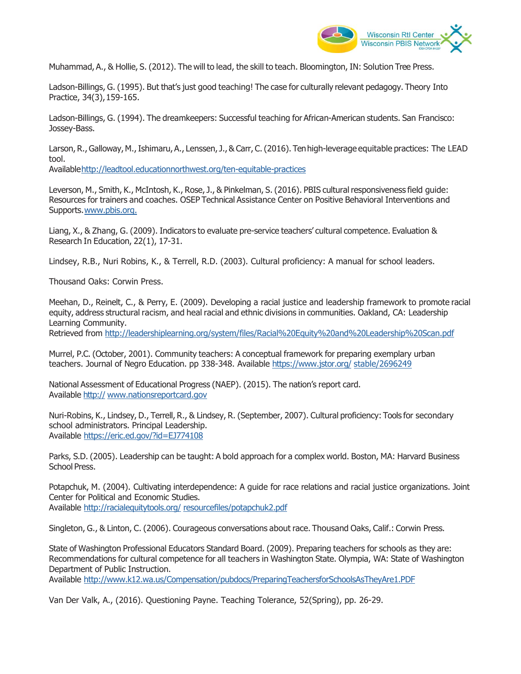

Muhammad, A., & Hollie, S. (2012). The will to lead, the skill to teach. Bloomington, IN: Solution Tree Press.

Ladson-Billings, G. (1995). But that's just good teaching! The case for culturally relevant pedagogy. Theory Into Practice, 34(3), 159-165.

Ladson-Billings, G. (1994). The dreamkeepers: Successful teaching for African-American students. San Francisco: Jossey-Bass.

Larson, R., Galloway, M., Ishimaru, A., Lenssen, J., & Carr, C. (2016). Ten high-leverage equitable practices: The LEAD tool.

Availabl[e http://leadtool.educationnorthwest.org/ten-equitable-practices](http://leadtool.educationnorthwest.org/ten-equitable-practices)

Leverson, M., Smith, K., McIntosh, K., Rose, J., & Pinkelman, S. (2016). PBIS cultural responsiveness field guide: Resources for trainers and coaches. OSEP Technical Assistance Center on Positive Behavioral Interventions and Supports[. www.pbis.org.](http://www.pbis.org/) 

Liang, X., & Zhang, G. (2009). Indicators to evaluate pre-service teachers' cultural competence. Evaluation & Research In Education, 22(1), 17-31.

Lindsey, R.B., Nuri Robins, K., & Terrell, R.D. (2003). Cultural proficiency: A manual for school leaders.

Thousand Oaks: Corwin Press.

Meehan, D., Reinelt, C., & Perry, E. (2009). Developing a racial justice and leadership framework to promote racial equity, address structural racism, and heal racial and ethnic divisions in communities. Oakland, CA: Leadership Learning Community.

Retrieved from [http://leadershiplearning.org/system/f](http://leadershiplearning.org/system/)iles/Racial%20Equity%20and%20Leadership%20Scan.pdf

Murrel, P.C. (October, 2001). Community teachers: A conceptual framework for preparing exemplary urban teachers. Journal of Negro Education. pp 338-348. Available https:[//www.jstor.org/](http://www.jstor.org/) stable/2696249

National Assessment of Educational Progress (NAEP). (2015). The nation's report card. Available http:// [www.nationsreportcard.gov](http://www.nationsreportcard.gov/)

Nuri-Robins, K., Lindsey, D., Terrell, R., & Lindsey, R. (September, 2007). Cultural proficiency: Tools for secondary school administrators. Principal Leadership. Available https://eric.ed.gov/?id=EJ774108

Parks, S.D. (2005). Leadership can be taught: A bold approach for a complex world. Boston, MA: Harvard Business School Press.

Potapchuk, M. (2004). Cultivating interdependence: A guide for race relations and racial justice organizations. Joint Center for Political and Economic Studies. Available<http://racialequitytools.org/>resourcefiles/potapchuk2.pdf

Singleton, G., & Linton, C. (2006). Courageous conversations about race. Thousand Oaks, Calif.: Corwin Press.

State of Washington Professional Educators Standard Board. (2009). Preparing teachers for schools as they are: Recommendations for cultural competence for all teachers in Washington State. Olympia, WA: State of Washington Department of Public Instruction.

Available [http://www.k12.wa.us/C](http://www.k12.wa.us/)ompensation/pubdocs/PreparingTeachersforSchoolsAsTheyAre1.PDF

Van Der Valk, A., (2016). Questioning Payne. Teaching Tolerance, 52(Spring), pp. 26-29.